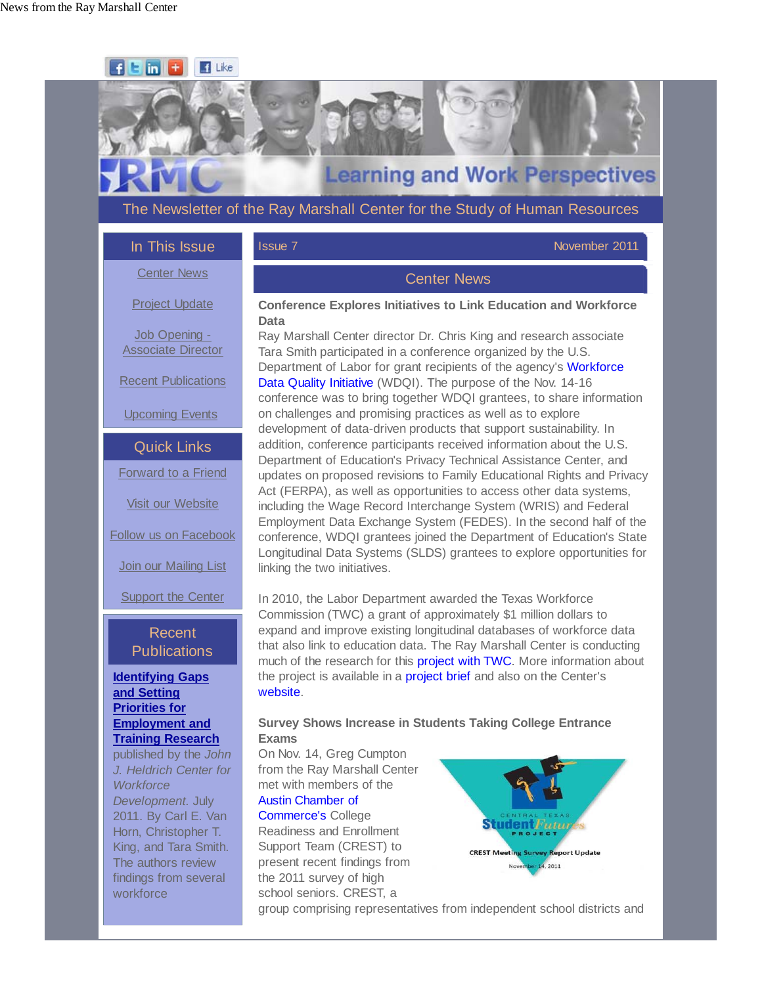

# **Learning and Work Perspectives**

The Newsletter of the Ray Marshall Center for the Study of Human Resources

# In This Issue Center News

#### Issue 7 November 2011

# Project Update

Job Opening - Associate Director

Recent Publications

**Upcoming Events** 

Quick Links

Forward to a Friend

Visit our Website

Follow us on Facebook

**Join our Mailing List** 

Support the Center

## Recent **Publications**

#### **Identifying Gaps and Setting Priorities for Employment and Training Research**

published by the *John J. Heldrich Center for Workforce Development*. July 2011. By Carl E. Van Horn, Christopher T. King, and Tara Smith. The authors review findings from several workforce

# Center News

#### **Conference Explores Initiatives to Link Education and Workforce Data**

Ray Marshall Center director Dr. Chris King and research associate Tara Smith participated in a conference organized by the U.S. Department of Labor for grant recipients of the agency's Workforce Data Quality Initiative (WDQI). The purpose of the Nov. 14-16 conference was to bring together WDQI grantees, to share information on challenges and promising practices as well as to explore development of data-driven products that support sustainability. In addition, conference participants received information about the U.S. Department of Education's Privacy Technical Assistance Center, and updates on proposed revisions to Family Educational Rights and Privacy Act (FERPA), as well as opportunities to access other data systems, including the Wage Record Interchange System (WRIS) and Federal Employment Data Exchange System (FEDES). In the second half of the conference, WDQI grantees joined the Department of Education's State Longitudinal Data Systems (SLDS) grantees to explore opportunities for linking the two initiatives.

In 2010, the Labor Department awarded the Texas Workforce Commission (TWC) a grant of approximately \$1 million dollars to expand and improve existing longitudinal databases of workforce data that also link to education data. The Ray Marshall Center is conducting much of the research for this **project with TWC**. More information about the project is available in a **project brief** and also on the Center's website.

#### **Survey Shows Increase in Students Taking College Entrance Exams**

On Nov. 14, Greg Cumpton from the Ray Marshall Center met with members of the Austin Chamber of Commerce's College Readiness and Enrollment

Support Team (CREST) to present recent findings from the 2011 survey of high school seniors. CREST, a



group comprising representatives from independent school districts and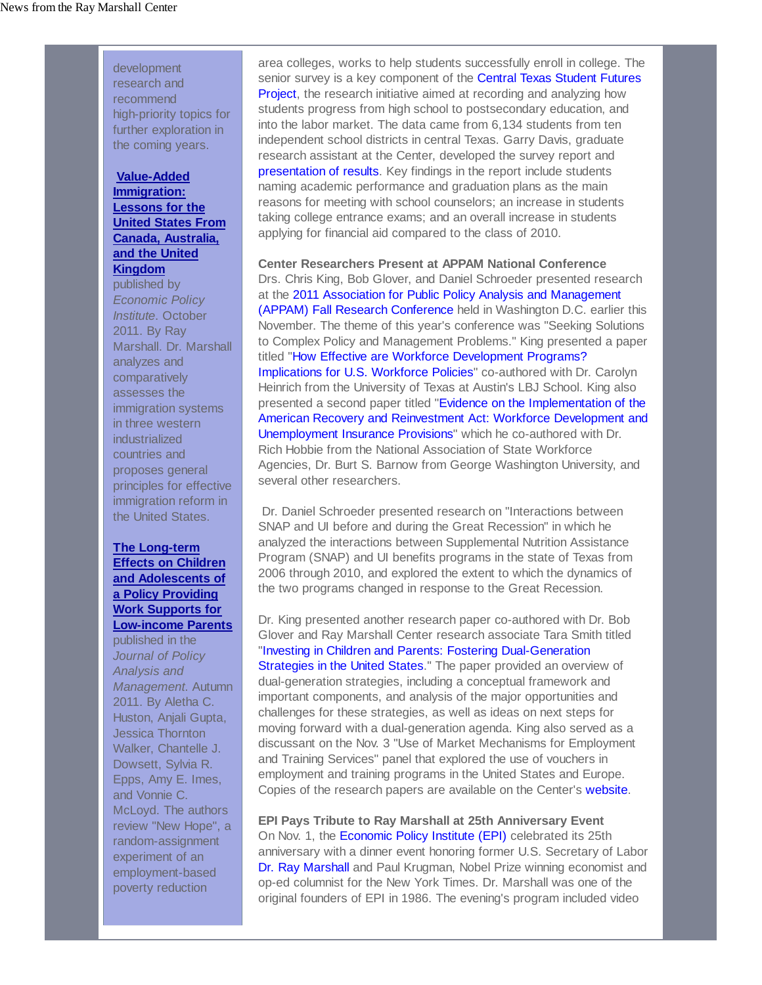development research and recommend high-priority topics for further exploration in the coming years.

#### **Value-Added Immigration: Lessons for the United States From Canada, Australia, and the United Kingdom**

published by *Economic Policy Institute*. October 2011. By Ray Marshall. Dr. Marshall analyzes and comparatively assesses the immigration systems in three western industrialized countries and proposes general principles for effective immigration reform in the United States.

#### **The Long-term Effects on Children and Adolescents of a Policy Providing Work Supports for Low-income Parents**

published in the *Journal of Policy Analysis and Management*. Autumn 2011. By Aletha C. Huston, Anjali Gupta, Jessica Thornton Walker, Chantelle J. Dowsett, Sylvia R. Epps, Amy E. Imes, and Vonnie C. McLoyd. The authors review "New Hope", a random-assignment experiment of an employment-based poverty reduction

area colleges, works to help students successfully enroll in college. The senior survey is a key component of the Central Texas Student Futures Project, the research initiative aimed at recording and analyzing how students progress from high school to postsecondary education, and into the labor market. The data came from 6,134 students from ten independent school districts in central Texas. Garry Davis, graduate research assistant at the Center, developed the survey report and presentation of results. Key findings in the report include students naming academic performance and graduation plans as the main reasons for meeting with school counselors; an increase in students taking college entrance exams; and an overall increase in students applying for financial aid compared to the class of 2010.

**Center Researchers Present at APPAM National Conference** Drs. Chris King, Bob Glover, and Daniel Schroeder presented research at the 2011 Association for Public Policy Analysis and Management (APPAM) Fall Research Conference held in Washington D.C. earlier this November. The theme of this year's conference was "Seeking Solutions to Complex Policy and Management Problems." King presented a paper titled "How Effective are Workforce Development Programs? Implications for U.S. Workforce Policies" co-authored with Dr. Carolyn Heinrich from the University of Texas at Austin's LBJ School. King also presented a second paper titled "Evidence on the Implementation of the American Recovery and Reinvestment Act: Workforce Development and Unemployment Insurance Provisions" which he co-authored with Dr. Rich Hobbie from the National Association of State Workforce Agencies, Dr. Burt S. Barnow from George Washington University, and several other researchers.

 Dr. Daniel Schroeder presented research on "Interactions between SNAP and UI before and during the Great Recession" in which he analyzed the interactions between Supplemental Nutrition Assistance Program (SNAP) and UI benefits programs in the state of Texas from 2006 through 2010, and explored the extent to which the dynamics of the two programs changed in response to the Great Recession.

Dr. King presented another research paper co-authored with Dr. Bob Glover and Ray Marshall Center research associate Tara Smith titled "Investing in Children and Parents: Fostering Dual-Generation Strategies in the United States." The paper provided an overview of dual-generation strategies, including a conceptual framework and important components, and analysis of the major opportunities and challenges for these strategies, as well as ideas on next steps for moving forward with a dual-generation agenda. King also served as a discussant on the Nov. 3 "Use of Market Mechanisms for Employment and Training Services" panel that explored the use of vouchers in employment and training programs in the United States and Europe. Copies of the research papers are available on the Center's website.

**EPI Pays Tribute to Ray Marshall at 25th Anniversary Event**  On Nov. 1, the Economic Policy Institute (EPI) celebrated its 25th anniversary with a dinner event honoring former U.S. Secretary of Labor Dr. Ray Marshall and Paul Krugman, Nobel Prize winning economist and op-ed columnist for the New York Times. Dr. Marshall was one of the original founders of EPI in 1986. The evening's program included video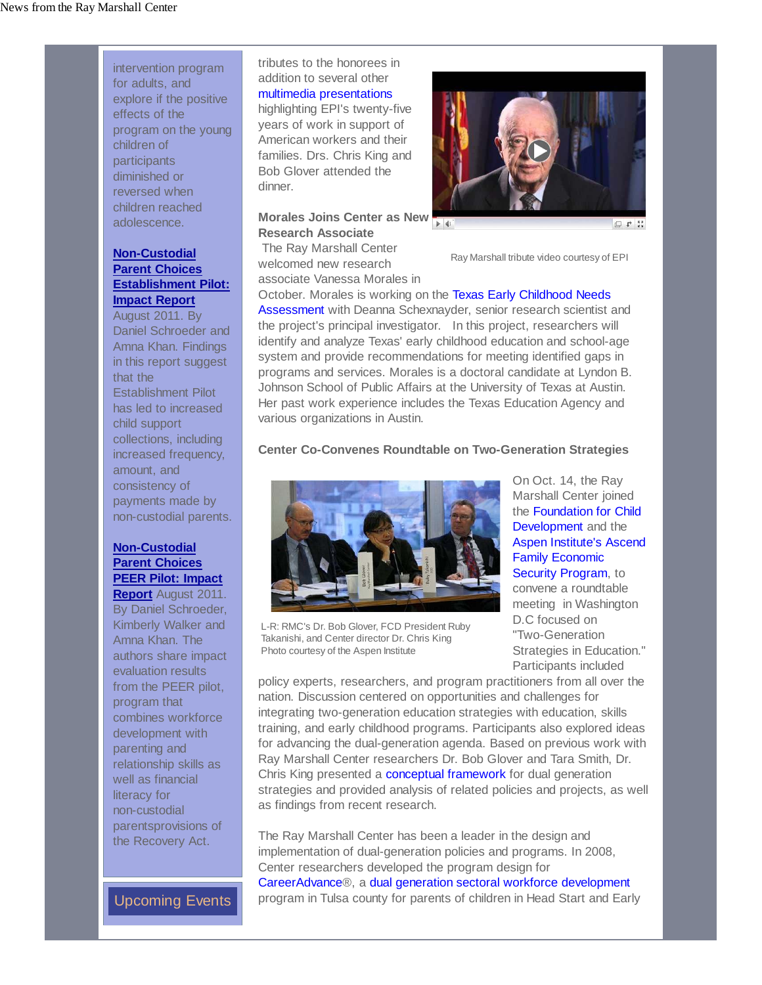intervention program for adults, and explore if the positive effects of the program on the young children of participants diminished or reversed when children reached adolescence.

#### **Non-Custodial Parent Choices Establishment Pilot: Impact Report**

August 2011. By Daniel Schroeder and Amna Khan. Findings in this report suggest that the Establishment Pilot has led to increased child support collections, including increased frequency, amount, and consistency of payments made by non-custodial parents.

#### **Non-Custodial Parent Choices PEER Pilot: Impact Report** August 2011.

By Daniel Schroeder, Kimberly Walker and Amna Khan. The authors share impact evaluation results from the PEER pilot, program that combines workforce development with parenting and relationship skills as well as financial literacy for non-custodial parentsprovisions of the Recovery Act.

Upcoming Events

tributes to the honorees in addition to several other multimedia presentations

highlighting EPI's twenty-five years of work in support of American workers and their families. Drs. Chris King and Bob Glover attended the dinner.

#### **Morales Joins Center as New Research Associate**

 The Ray Marshall Center welcomed new research associate Vanessa Morales in



日中品

Ray Marshall tribute video courtesy of EPI

October. Morales is working on the Texas Early Childhood Needs Assessment with Deanna Schexnayder, senior research scientist and the project's principal investigator. In this project, researchers will identify and analyze Texas' early childhood education and school-age system and provide recommendations for meeting identified gaps in programs and services. Morales is a doctoral candidate at Lyndon B. Johnson School of Public Affairs at the University of Texas at Austin. Her past work experience includes the Texas Education Agency and various organizations in Austin.

#### **Center Co-Convenes Roundtable on Two-Generation Strategies**



L-R: RMC's Dr. Bob Glover, FCD President Ruby Takanishi, and Center director Dr. Chris King Photo courtesy of the Aspen Institute

On Oct. 14, the Ray Marshall Center joined the Foundation for Child Development and the Aspen Institute's Ascend Family Economic Security Program, to convene a roundtable meeting in Washington D.C focused on "Two-Generation Strategies in Education." Participants included

policy experts, researchers, and program practitioners from all over the nation. Discussion centered on opportunities and challenges for integrating two-generation education strategies with education, skills training, and early childhood programs. Participants also explored ideas for advancing the dual-generation agenda. Based on previous work with Ray Marshall Center researchers Dr. Bob Glover and Tara Smith, Dr. Chris King presented a **conceptual framework** for dual generation strategies and provided analysis of related policies and projects, as well as findings from recent research.

The Ray Marshall Center has been a leader in the design and implementation of dual-generation policies and programs. In 2008, Center researchers developed the program design for CareerAdvance®, a dual generation sectoral workforce development program in Tulsa county for parents of children in Head Start and Early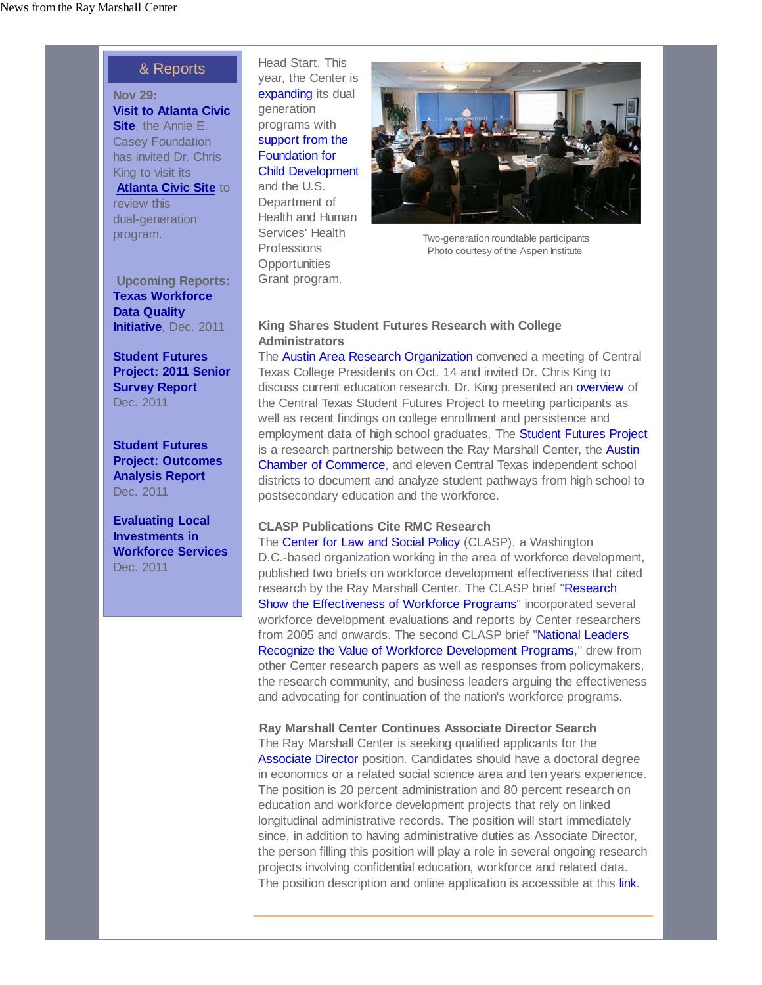### & Reports

**Nov 29: Visit to Atlanta Civic Site**, the Annie E. Casey Foundation has invited Dr. Chris King to visit its **Atlanta Civic Site** to review this dual-generation program.

 **Upcoming Reports: Texas Workforce Data Quality Initiative**, Dec. 2011

**Student Futures Project: 2011 Senior Survey Report** Dec. 2011

**Student Futures Project: Outcomes Analysis Report** Dec. 2011

**Evaluating Local Investments in Workforce Services** Dec. 2011

Head Start. This year, the Center is expanding its dual generation programs with support from the Foundation for Child Development and the U.S. Department of Health and Human Services' Health

**Professions Opportunities** Grant program.



Two-generation roundtable participants Photo courtesy of the Aspen Institute

#### **King Shares Student Futures Research with College Administrators**

The Austin Area Research Organization convened a meeting of Central Texas College Presidents on Oct. 14 and invited Dr. Chris King to discuss current education research. Dr. King presented an overview of the Central Texas Student Futures Project to meeting participants as well as recent findings on college enrollment and persistence and employment data of high school graduates. The **Student Futures Project** is a research partnership between the Ray Marshall Center, the Austin Chamber of Commerce, and eleven Central Texas independent school districts to document and analyze student pathways from high school to postsecondary education and the workforce.

#### **CLASP Publications Cite RMC Research**

The Center for Law and Social Policy (CLASP), a Washington D.C.-based organization working in the area of workforce development, published two briefs on workforce development effectiveness that cited research by the Ray Marshall Center. The CLASP brief "Research Show the Effectiveness of Workforce Programs" incorporated several workforce development evaluations and reports by Center researchers from 2005 and onwards. The second CLASP brief "National Leaders Recognize the Value of Workforce Development Programs," drew from other Center research papers as well as responses from policymakers, the research community, and business leaders arguing the effectiveness and advocating for continuation of the nation's workforce programs.

**Ray Marshall Center Continues Associate Director Search** The Ray Marshall Center is seeking qualified applicants for the Associate Director position. Candidates should have a doctoral degree in economics or a related social science area and ten years experience. The position is 20 percent administration and 80 percent research on education and workforce development projects that rely on linked longitudinal administrative records. The position will start immediately since, in addition to having administrative duties as Associate Director, the person filling this position will play a role in several ongoing research projects involving confidential education, workforce and related data. The position description and online application is accessible at this link.